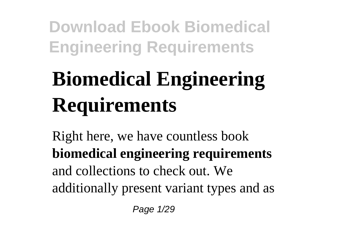# **Biomedical Engineering Requirements**

Right here, we have countless book **biomedical engineering requirements** and collections to check out. We additionally present variant types and as

Page 1/29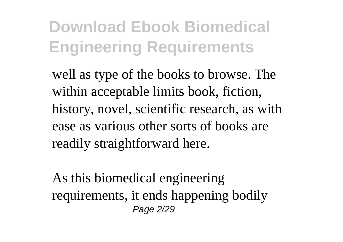well as type of the books to browse. The within acceptable limits book, fiction, history, novel, scientific research, as with ease as various other sorts of books are readily straightforward here.

As this biomedical engineering requirements, it ends happening bodily Page 2/29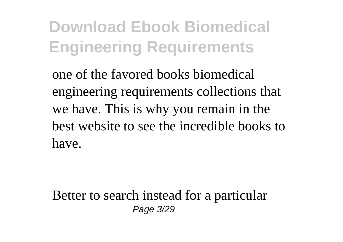one of the favored books biomedical engineering requirements collections that we have. This is why you remain in the best website to see the incredible books to have.

Better to search instead for a particular Page 3/29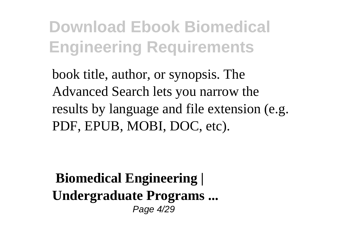book title, author, or synopsis. The Advanced Search lets you narrow the results by language and file extension (e.g. PDF, EPUB, MOBI, DOC, etc).

**Biomedical Engineering | Undergraduate Programs ...** Page 4/29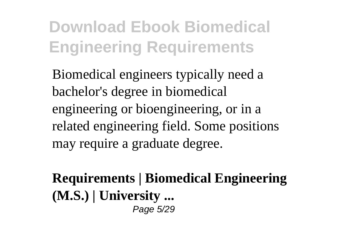Biomedical engineers typically need a bachelor's degree in biomedical engineering or bioengineering, or in a related engineering field. Some positions may require a graduate degree.

**Requirements | Biomedical Engineering (M.S.) | University ...** Page 5/29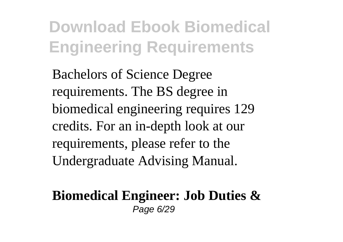Bachelors of Science Degree requirements. The BS degree in biomedical engineering requires 129 credits. For an in-depth look at our requirements, please refer to the Undergraduate Advising Manual.

#### **Biomedical Engineer: Job Duties &** Page 6/29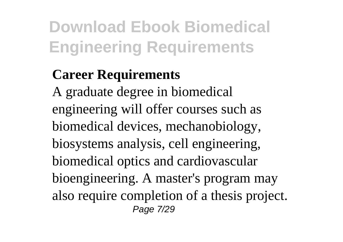#### **Career Requirements**

A graduate degree in biomedical engineering will offer courses such as biomedical devices, mechanobiology, biosystems analysis, cell engineering, biomedical optics and cardiovascular bioengineering. A master's program may also require completion of a thesis project. Page 7/29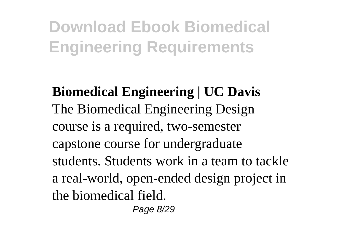**Biomedical Engineering | UC Davis** The Biomedical Engineering Design course is a required, two-semester capstone course for undergraduate students. Students work in a team to tackle a real-world, open-ended design project in the biomedical field.

Page 8/29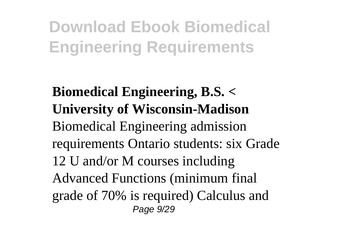**Biomedical Engineering, B.S. < University of Wisconsin-Madison** Biomedical Engineering admission requirements Ontario students: six Grade 12 U and/or M courses including Advanced Functions (minimum final grade of 70% is required) Calculus and Page 9/29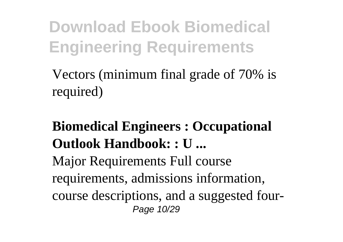Vectors (minimum final grade of 70% is required)

#### **Biomedical Engineers : Occupational Outlook Handbook: : U ...** Major Requirements Full course requirements, admissions information, course descriptions, and a suggested four-Page 10/29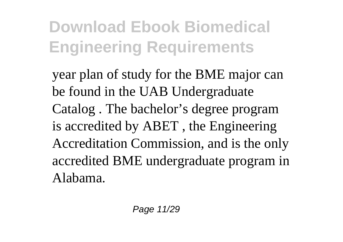year plan of study for the BME major can be found in the UAB Undergraduate Catalog . The bachelor's degree program is accredited by ABET , the Engineering Accreditation Commission, and is the only accredited BME undergraduate program in Alabama.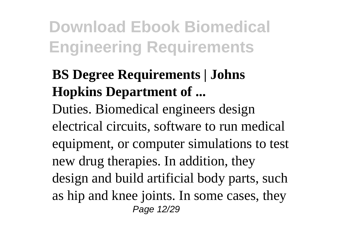#### **BS Degree Requirements | Johns Hopkins Department of ...**

Duties. Biomedical engineers design electrical circuits, software to run medical equipment, or computer simulations to test new drug therapies. In addition, they design and build artificial body parts, such as hip and knee joints. In some cases, they Page 12/29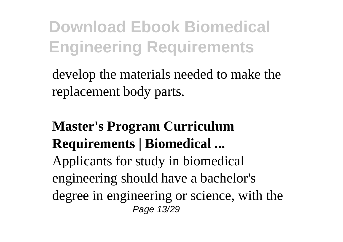develop the materials needed to make the replacement body parts.

#### **Master's Program Curriculum Requirements | Biomedical ...** Applicants for study in biomedical engineering should have a bachelor's degree in engineering or science, with the Page 13/29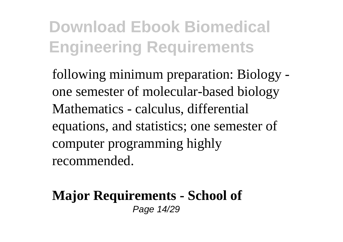following minimum preparation: Biology one semester of molecular-based biology Mathematics - calculus, differential equations, and statistics; one semester of computer programming highly recommended.

#### **Major Requirements - School of** Page 14/29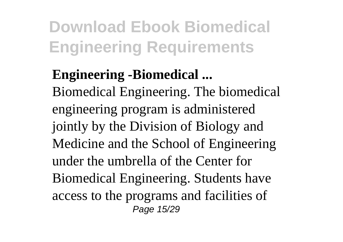#### **Engineering -Biomedical ...**

Biomedical Engineering. The biomedical engineering program is administered jointly by the Division of Biology and Medicine and the School of Engineering under the umbrella of the Center for Biomedical Engineering. Students have access to the programs and facilities of Page 15/29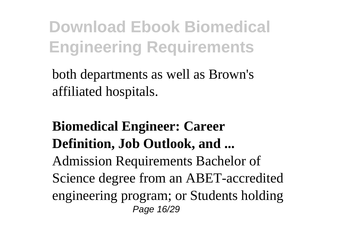both departments as well as Brown's affiliated hospitals.

#### **Biomedical Engineer: Career Definition, Job Outlook, and ...** Admission Requirements Bachelor of Science degree from an ABET-accredited engineering program; or Students holding Page 16/29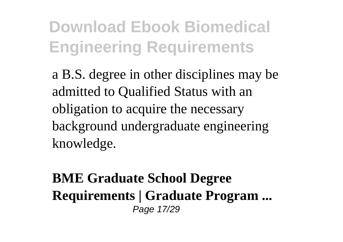a B.S. degree in other disciplines may be admitted to Qualified Status with an obligation to acquire the necessary background undergraduate engineering knowledge.

#### **BME Graduate School Degree Requirements | Graduate Program ...** Page 17/29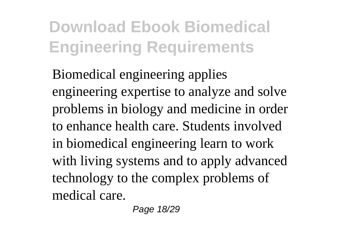Biomedical engineering applies engineering expertise to analyze and solve problems in biology and medicine in order to enhance health care. Students involved in biomedical engineering learn to work with living systems and to apply advanced technology to the complex problems of medical care.

Page 18/29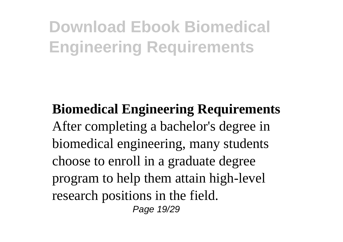**Biomedical Engineering Requirements** After completing a bachelor's degree in biomedical engineering, many students choose to enroll in a graduate degree program to help them attain high-level research positions in the field. Page 19/29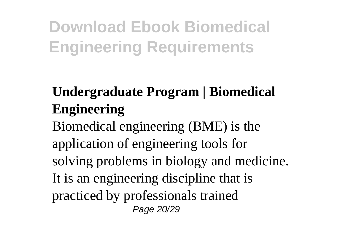#### **Undergraduate Program | Biomedical Engineering**

Biomedical engineering (BME) is the application of engineering tools for solving problems in biology and medicine. It is an engineering discipline that is practiced by professionals trained Page 20/29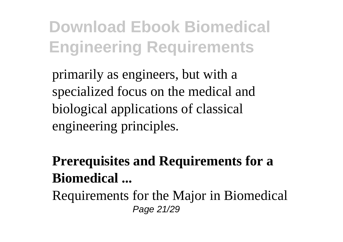primarily as engineers, but with a specialized focus on the medical and biological applications of classical engineering principles.

**Prerequisites and Requirements for a Biomedical ...**

Requirements for the Major in Biomedical Page 21/29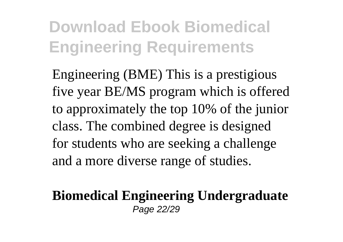Engineering (BME) This is a prestigious five year BE/MS program which is offered to approximately the top 10% of the junior class. The combined degree is designed for students who are seeking a challenge and a more diverse range of studies.

#### **Biomedical Engineering Undergraduate** Page 22/29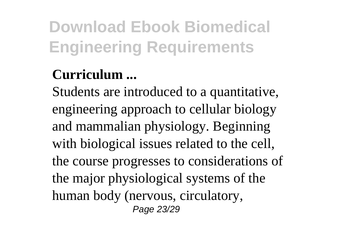#### **Curriculum ...**

Students are introduced to a quantitative, engineering approach to cellular biology and mammalian physiology. Beginning with biological issues related to the cell, the course progresses to considerations of the major physiological systems of the human body (nervous, circulatory, Page 23/29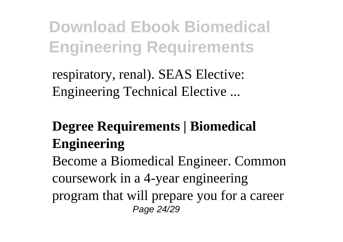respiratory, renal). SEAS Elective: Engineering Technical Elective ...

#### **Degree Requirements | Biomedical Engineering**

Become a Biomedical Engineer. Common coursework in a 4-year engineering program that will prepare you for a career Page 24/29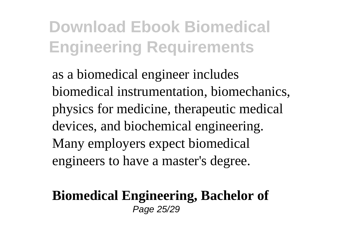as a biomedical engineer includes biomedical instrumentation, biomechanics, physics for medicine, therapeutic medical devices, and biochemical engineering. Many employers expect biomedical engineers to have a master's degree.

#### **Biomedical Engineering, Bachelor of** Page 25/29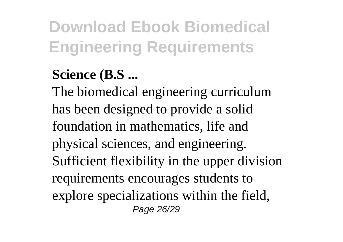#### **Science (B.S ...**

The biomedical engineering curriculum has been designed to provide a solid foundation in mathematics, life and physical sciences, and engineering. Sufficient flexibility in the upper division requirements encourages students to explore specializations within the field, Page 26/29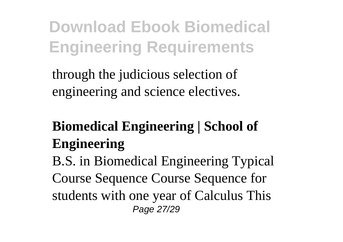through the judicious selection of engineering and science electives.

#### **Biomedical Engineering | School of Engineering**

B.S. in Biomedical Engineering Typical Course Sequence Course Sequence for students with one year of Calculus This Page 27/29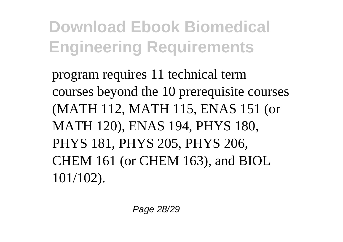program requires 11 technical term courses beyond the 10 prerequisite courses (MATH 112, MATH 115, ENAS 151 (or MATH 120), ENAS 194, PHYS 180, PHYS 181, PHYS 205, PHYS 206, CHEM 161 (or CHEM 163), and BIOL 101/102).